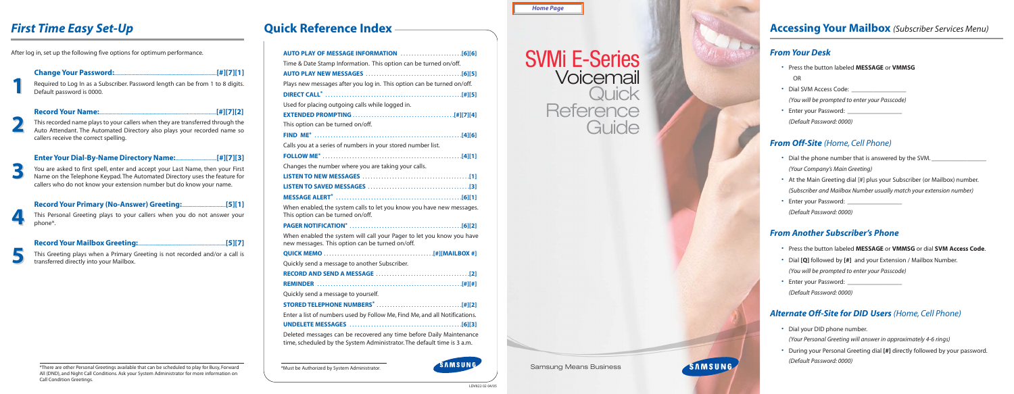# SVMi E-Series Voicemail **Quick Reference Guide**



MI ISSED

Samsung Means Business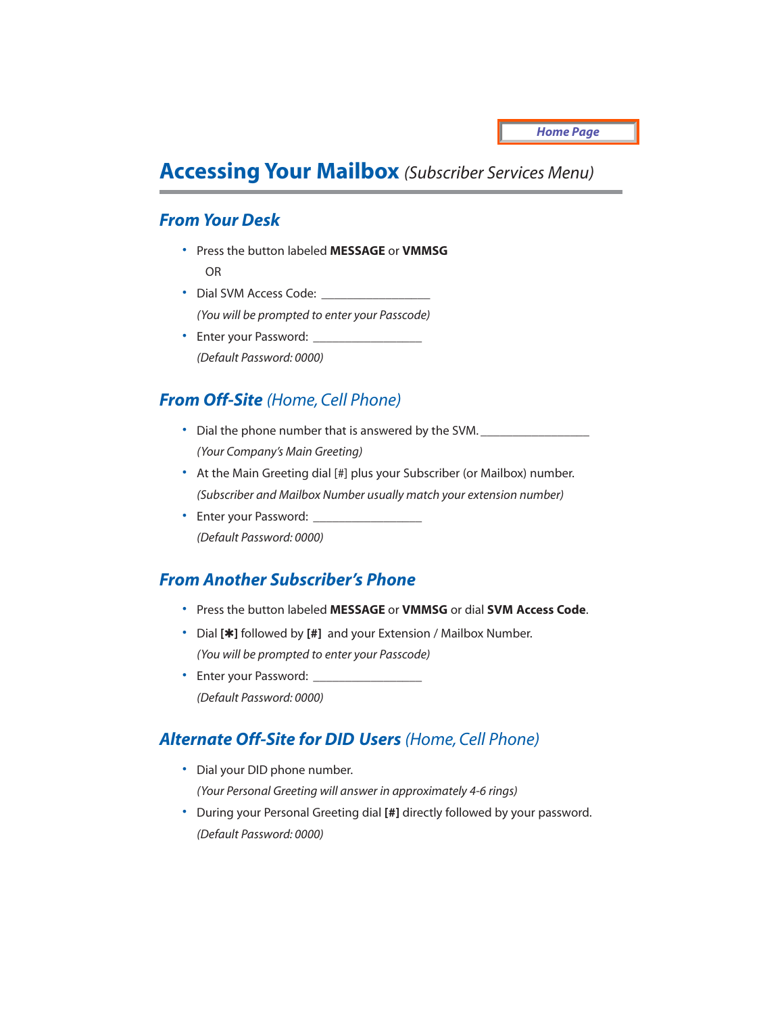## **Accessing Your Mailbox** *(Subscriber Services Menu)*

### *From Your Desk*

- Press the button labeled **MESSAGE** or **VMMSG** OR
- Dial SVM Access Code: *(You will be prompted to enter your Passcode)*
- Enter your Password: *(Default Password: 0000)*

## *From Off-Site (Home, Cell Phone)*

- Dial the phone number that is answered by the SVM. *(Your Company's Main Greeting)*
- At the Main Greeting dial [#] plus your Subscriber (or Mailbox) number. *(Subscriber and Mailbox Number usually match your extension number)*
- Enter your Password: *(Default Password: 0000)*

### *From Another Subscriber's Phone*

- Press the button labeled **MESSAGE** or **VMMSG** or dial **SVM Access Code**.
- Dial **[**✱**]** followed by **[#]** and your Extension / Mailbox Number. *(You will be prompted to enter your Passcode)*
- Enter your Password: \_\_\_\_\_\_\_\_\_\_\_\_\_\_\_\_\_ *(Default Password: 0000)*

## *Alternate Off-Site for DID Users (Home, Cell Phone)*

- Dial your DID phone number. *(Your Personal Greeting will answer in approximately 4-6 rings)*
- During your Personal Greeting dial **[#]** directly followed by your password. *(Default Password: 0000)*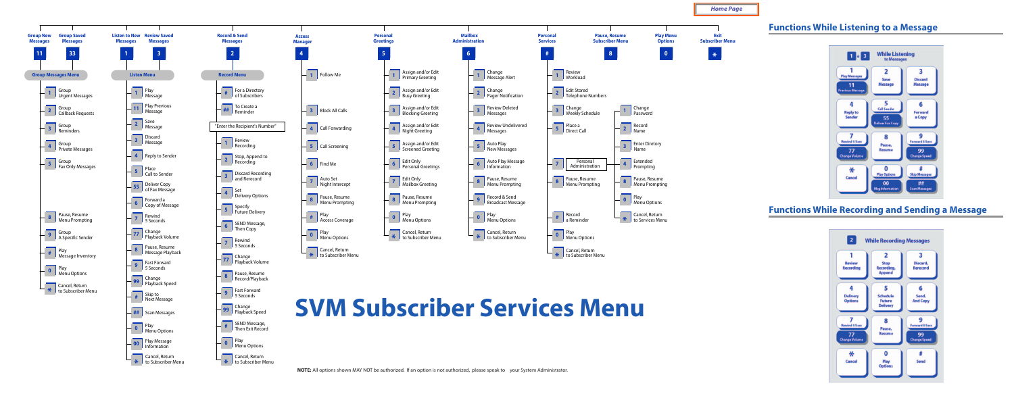**NOTE:** All options shown MAY NOT be authorized. If an option is not authorized, please speak to your System Administrator.

**\***

**Cancel, Return** to Subscriber Menu



**\*** to Subscriber Menu



- 
- **2 Edit Stored**<br>**PEDER DEADLER**<br>**Telephone Numbers**



- 
- to Subscriber Menu



Cancel, Return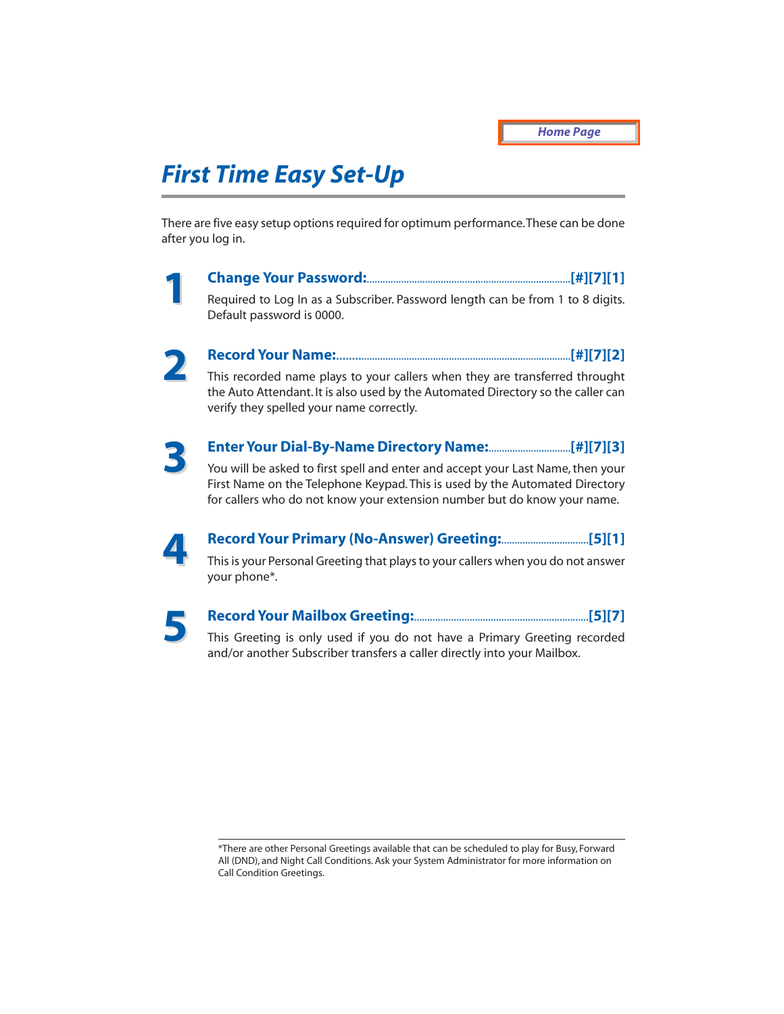## *First Time Easy Set-Up*

There are five easy setup options required for optimum performance.These can be done after you log in.

**1**

#### **Change Your Password:**.............................................................................**[#][7][1]**

Required to Log In as a Subscriber. Password length can be from 1 to 8 digits. Default password is 0000.



#### **Record Your Name:**.......................................................................................**[#][7][2]**

This recorded name plays to your callers when they are transferred throught the Auto Attendant. It is also used by the Automated Directory so the caller can verify they spelled your name correctly.



#### **Enter Your Dial-By-Name Directory Name:**...............................**[#][7][3]**

You will be asked to first spell and enter and accept your Last Name, then your First Name on the Telephone Keypad. This is used by the Automated Directory for callers who do not know your extension number but do know your name.



## **Record Your Primary (No-Answer) Greeting:**.................................**[5][1]**

This is your Personal Greeting that plays to your callers when you do not answer your phone\*.



#### **Record Your Mailbox Greeting:**..................................................................**[5][7]**

This Greeting is only used if you do not have a Primary Greeting recorded and/or another Subscriber transfers a caller directly into your Mailbox.

<sup>\*</sup>There are other Personal Greetings available that can be scheduled to play for Busy, Forward All (DND), and Night Call Conditions. Ask your System Administrator for more information on Call Condition Greetings.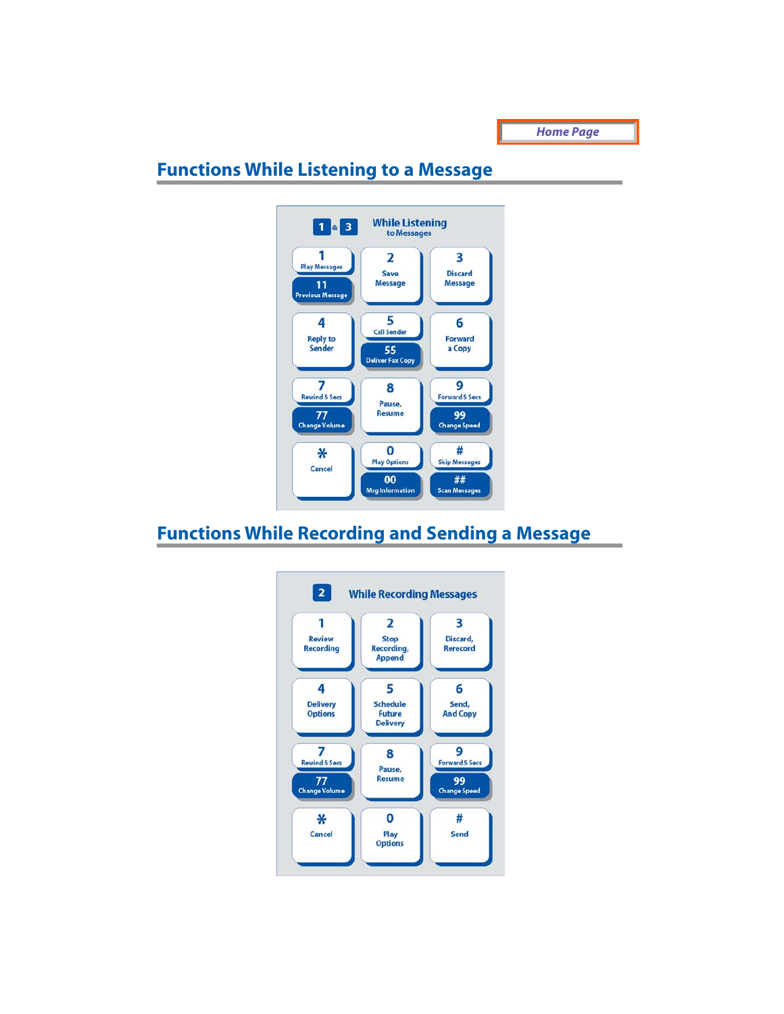*Home Page*

## **Functions While Listening to a Message**



## **Functions While Recording and Sending a Message**